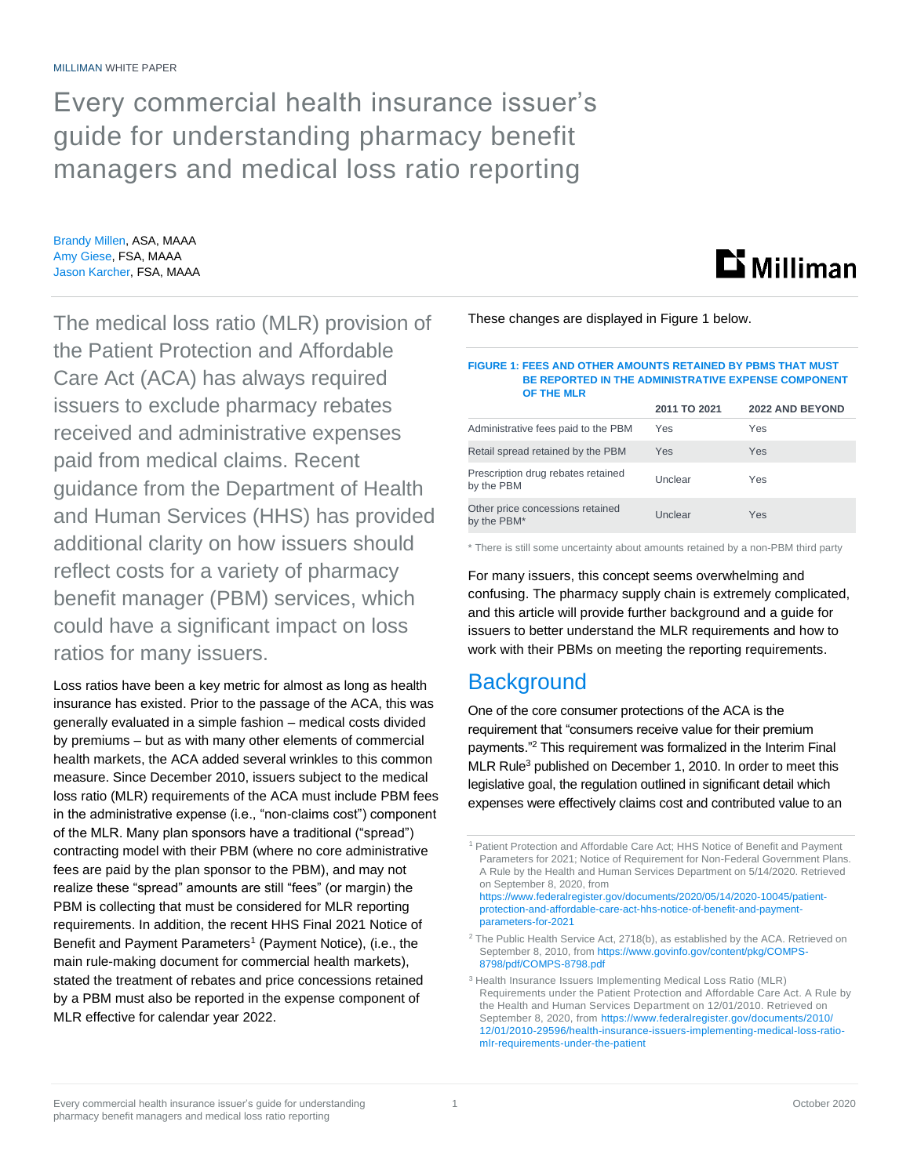Every commercial health insurance issuer's guide for understanding pharmacy benefit managers and medical loss ratio reporting

Brandy Millen, ASA, MAAA Amy Giese, FSA, MAAA Jason Karcher, FSA, MAAA

The medical loss ratio (MLR) provision of the Patient Protection and Affordable Care Act (ACA) has always required issuers to exclude pharmacy rebates received and administrative expenses paid from medical claims. Recent guidance from the Department of Health and Human Services (HHS) has provided additional clarity on how issuers should reflect costs for a variety of pharmacy benefit manager (PBM) services, which could have a significant impact on loss ratios for many issuers.

Loss ratios have been a key metric for almost as long as health insurance has existed. Prior to the passage of the ACA, this was generally evaluated in a simple fashion – medical costs divided by premiums – but as with many other elements of commercial health markets, the ACA added several wrinkles to this common measure. Since December 2010, issuers subject to the medical loss ratio (MLR) requirements of the ACA must include PBM fees in the administrative expense (i.e., "non-claims cost") component of the MLR. Many plan sponsors have a traditional ("spread") contracting model with their PBM (where no core administrative fees are paid by the plan sponsor to the PBM), and may not realize these "spread" amounts are still "fees" (or margin) the PBM is collecting that must be considered for MLR reporting requirements. In addition, the recent HHS Final 2021 Notice of Benefit and Payment Parameters<sup>1</sup> (Payment Notice), (i.e., the main rule-making document for commercial health markets), stated the treatment of rebates and price concessions retained by a PBM must also be reported in the expense component of MLR effective for calendar year 2022.

These changes are displayed in Figure 1 below.

#### **FIGURE 1: FEES AND OTHER AMOUNTS RETAINED BY PBMS THAT MUST BE REPORTED IN THE ADMINISTRATIVE EXPENSE COMPONENT OF THE MLR**

**Li** Milliman

| UF INE WLK                                       |              |                        |
|--------------------------------------------------|--------------|------------------------|
|                                                  | 2011 TO 2021 | <b>2022 AND BEYOND</b> |
| Administrative fees paid to the PBM              | Yes          | Yes                    |
| Retail spread retained by the PBM                | Yes          | Yes                    |
| Prescription drug rebates retained<br>by the PBM | Unclear      | Yes                    |
| Other price concessions retained<br>by the PBM*  | Unclear      | Yes                    |

\* There is still some uncertainty about amounts retained by a non-PBM third party

For many issuers, this concept seems overwhelming and confusing. The pharmacy supply chain is extremely complicated, and this article will provide further background and a guide for issuers to better understand the MLR requirements and how to work with their PBMs on meeting the reporting requirements.

# **Background**

One of the core consumer protections of the ACA is the requirement that "consumers receive value for their premium payments."<sup>2</sup> This requirement was formalized in the Interim Final MLR Rule<sup>3</sup> published on December 1, 2010. In order to meet this legislative goal, the regulation outlined in significant detail which expenses were effectively claims cost and contributed value to an

<sup>1</sup> Patient Protection and Affordable Care Act; HHS Notice of Benefit and Payment Parameters for 2021; Notice of Requirement for Non-Federal Government Plans. A Rule by the Health and Human Services Department on 5/14/2020. Retrieved on September 8, 2020, from [https://www.federalregister.gov/documents/2020/05/14/2020-10045/patient-](https://www.federalregister.gov/documents/2020/05/14/2020-10045/patient-protection-and-affordable-care-act-hhs-notice-of-benefit-and-payment-parameters-for-2021)

[protection-and-affordable-care-act-hhs-notice-of-benefit-and-payment](https://www.federalregister.gov/documents/2020/05/14/2020-10045/patient-protection-and-affordable-care-act-hhs-notice-of-benefit-and-payment-parameters-for-2021)[parameters-for-2021](https://www.federalregister.gov/documents/2020/05/14/2020-10045/patient-protection-and-affordable-care-act-hhs-notice-of-benefit-and-payment-parameters-for-2021)

<sup>&</sup>lt;sup>2</sup> The Public Health Service Act, 2718(b), as established by the ACA. Retrieved on September 8, 2010, fro[m https://www.govinfo.gov/content/pkg/COMPS-](https://www.govinfo.gov/content/pkg/COMPS-8798/pdf/COMPS-8798.pdf)[8798/pdf/COMPS-8798.pdf](https://www.govinfo.gov/content/pkg/COMPS-8798/pdf/COMPS-8798.pdf)

<sup>&</sup>lt;sup>3</sup> Health Insurance Issuers Implementing Medical Loss Ratio (MLR) Requirements under the Patient Protection and Affordable Care Act. A Rule by the Health and Human Services Department on 12/01/2010. Retrieved on September 8, 2020, fro[m https://www.federalregister.gov/documents/2010/](https://www.federalregister.gov/documents/2010/12/01/2010-29596/health-insurance-issuers-implementing-medical-loss-ratio-mlr-requirements-under-the-patient) [12/01/2010-29596/health-insurance-issuers-implementing-medical-loss-ratio](https://www.federalregister.gov/documents/2010/12/01/2010-29596/health-insurance-issuers-implementing-medical-loss-ratio-mlr-requirements-under-the-patient)[mlr-requirements-under-the-patient](https://www.federalregister.gov/documents/2010/12/01/2010-29596/health-insurance-issuers-implementing-medical-loss-ratio-mlr-requirements-under-the-patient)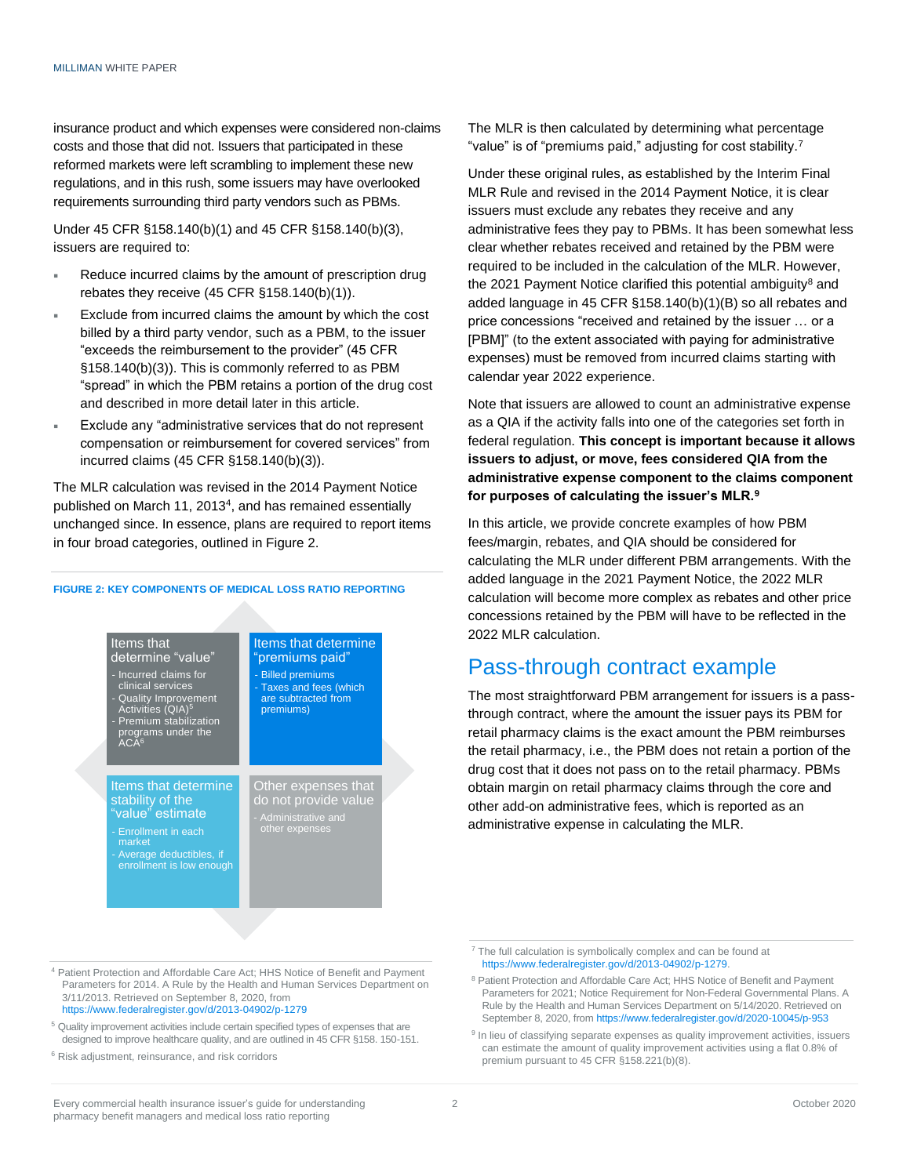insurance product and which expenses were considered non-claims costs and those that did not. Issuers that participated in these reformed markets were left scrambling to implement these new regulations, and in this rush, some issuers may have overlooked requirements surrounding third party vendors such as PBMs.

Under 45 CFR §158.140(b)(1) and 45 CFR §158.140(b)(3), issuers are required to:

- Reduce incurred claims by the amount of prescription drug rebates they receive (45 CFR §158.140(b)(1)).
- Exclude from incurred claims the amount by which the cost billed by a third party vendor, such as a PBM, to the issuer "exceeds the reimbursement to the provider" (45 CFR §158.140(b)(3)). This is commonly referred to as PBM "spread" in which the PBM retains a portion of the drug cost and described in more detail later in this article.
- Exclude any "administrative services that do not represent compensation or reimbursement for covered services" from incurred claims (45 CFR §158.140(b)(3)).

The MLR calculation was revised in the 2014 Payment Notice published on March 11, 2013<sup>4</sup>, and has remained essentially unchanged since. In essence, plans are required to report items in four broad categories, outlined in Figure 2.

### **FIGURE 2: KEY COMPONENTS OF MEDICAL LOSS RATIO REPORTING**



<sup>4</sup> Patient Protection and Affordable Care Act; HHS Notice of Benefit and Payment Parameters for 2014. A Rule by the Health and Human Services Department on 3/11/2013. Retrieved on September 8, 2020, from <https://www.federalregister.gov/d/2013-04902/p-1279>

- <sup>5</sup> Quality improvement activities include certain specified types of expenses that are designed to improve healthcare quality, and are outlined in 45 CFR §158. 150-151.
- <sup>6</sup> Risk adjustment, reinsurance, and risk corridors

The MLR is then calculated by determining what percentage "value" is of "premiums paid," adjusting for cost stability.<sup>7</sup>

Under these original rules, as established by the Interim Final MLR Rule and revised in the 2014 Payment Notice, it is clear issuers must exclude any rebates they receive and any administrative fees they pay to PBMs. It has been somewhat less clear whether rebates received and retained by the PBM were required to be included in the calculation of the MLR. However, the 2021 Payment Notice clarified this potential ambiguity<sup>8</sup> and added language in 45 CFR §158.140(b)(1)(B) so all rebates and price concessions "received and retained by the issuer … or a [PBM]" (to the extent associated with paying for administrative expenses) must be removed from incurred claims starting with calendar year 2022 experience.

Note that issuers are allowed to count an administrative expense as a QIA if the activity falls into one of the categories set forth in federal regulation. **This concept is important because it allows issuers to adjust, or move, fees considered QIA from the administrative expense component to the claims component for purposes of calculating the issuer's MLR.<sup>9</sup>**

In this article, we provide concrete examples of how PBM fees/margin, rebates, and QIA should be considered for calculating the MLR under different PBM arrangements. With the added language in the 2021 Payment Notice, the 2022 MLR calculation will become more complex as rebates and other price concessions retained by the PBM will have to be reflected in the 2022 MLR calculation.

## Pass-through contract example

The most straightforward PBM arrangement for issuers is a passthrough contract, where the amount the issuer pays its PBM for retail pharmacy claims is the exact amount the PBM reimburses the retail pharmacy, i.e., the PBM does not retain a portion of the drug cost that it does not pass on to the retail pharmacy. PBMs obtain margin on retail pharmacy claims through the core and other add-on administrative fees, which is reported as an administrative expense in calculating the MLR.

<sup>&</sup>lt;sup>7</sup> The full calculation is symbolically complex and can be found at [https://www.federalregister.gov/d/2013-04902/p-1279.](https://www.federalregister.gov/d/2013-04902/p-1279)

<sup>&</sup>lt;sup>8</sup> Patient Protection and Affordable Care Act; HHS Notice of Benefit and Payment Parameters for 2021; Notice Requirement for Non-Federal Governmental Plans. A Rule by the Health and Human Services Department on 5/14/2020. Retrieved on September 8, 2020, fro[m https://www.federalregister.gov/d/2020-10045/p-953](https://www.federalregister.gov/d/2020-10045/p-953)

<sup>&</sup>lt;sup>9</sup> In lieu of classifying separate expenses as quality improvement activities, issuers can estimate the amount of quality improvement activities using a flat 0.8% of premium pursuant to 45 CFR §158.221(b)(8).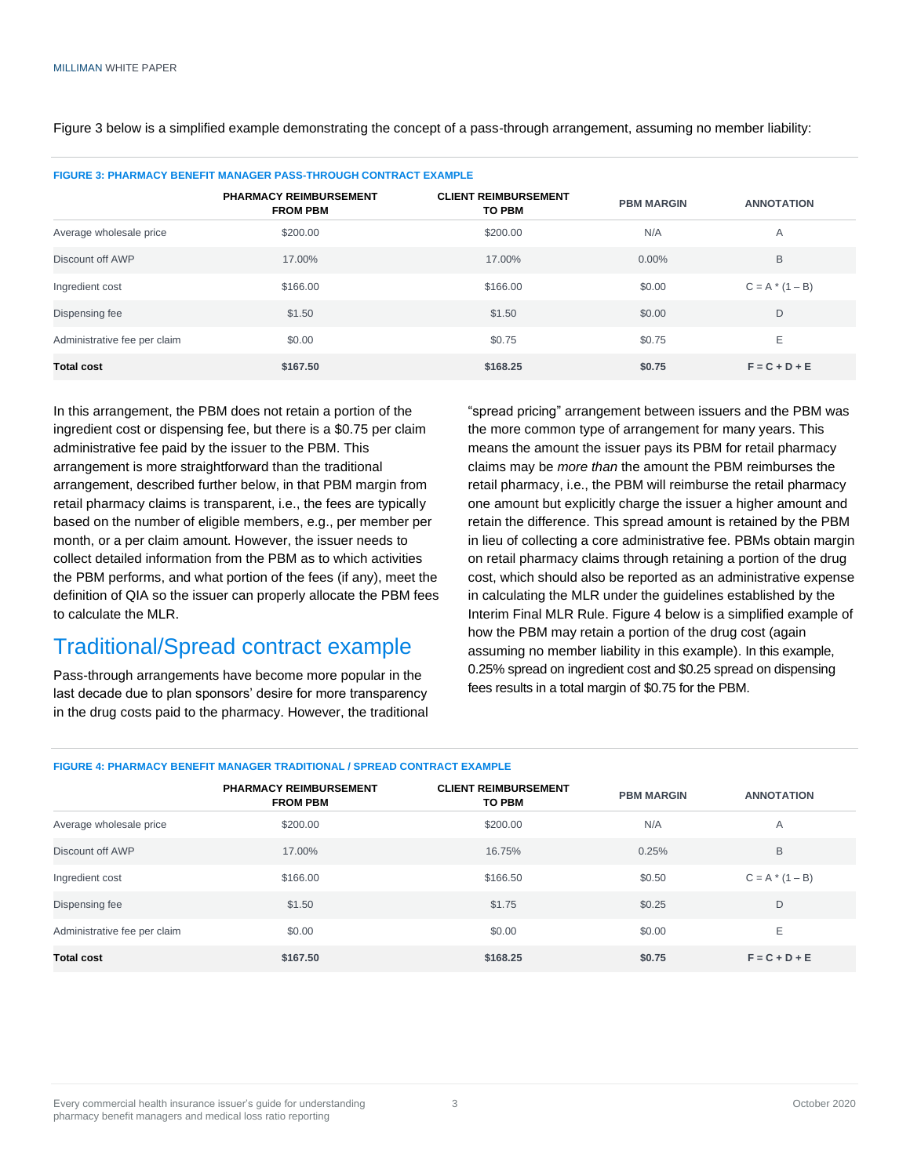Figure 3 below is a simplified example demonstrating the concept of a pass-through arrangement, assuming no member liability:

| FIGURE 3: PHARMACY BENEFIT MANAGER PASS-THROUGH CONTRACT EXAMPLE |                                                  |                                              |                   |                   |
|------------------------------------------------------------------|--------------------------------------------------|----------------------------------------------|-------------------|-------------------|
|                                                                  | <b>PHARMACY REIMBURSEMENT</b><br><b>FROM PBM</b> | <b>CLIENT REIMBURSEMENT</b><br><b>TO PBM</b> | <b>PBM MARGIN</b> | <b>ANNOTATION</b> |
| Average wholesale price                                          | \$200.00                                         | \$200.00                                     | N/A               | A                 |
| Discount off AWP                                                 | 17.00%                                           | 17.00%                                       | $0.00\%$          | B                 |
| Ingredient cost                                                  | \$166.00                                         | \$166.00                                     | \$0.00            | $C = A * (1 - B)$ |
| Dispensing fee                                                   | \$1.50                                           | \$1.50                                       | \$0.00            | D                 |
| Administrative fee per claim                                     | \$0.00                                           | \$0.75                                       | \$0.75            | E                 |
| <b>Total cost</b>                                                | \$167.50                                         | \$168.25                                     | \$0.75            | $F = C + D + E$   |

**FIGURE 3: PHARMACY BENEFIT MANAGER PASS-THROUGH CONTRACT EXAMPLE**

In this arrangement, the PBM does not retain a portion of the ingredient cost or dispensing fee, but there is a \$0.75 per claim administrative fee paid by the issuer to the PBM. This arrangement is more straightforward than the traditional arrangement, described further below, in that PBM margin from retail pharmacy claims is transparent, i.e., the fees are typically based on the number of eligible members, e.g., per member per month, or a per claim amount. However, the issuer needs to collect detailed information from the PBM as to which activities the PBM performs, and what portion of the fees (if any), meet the definition of QIA so the issuer can properly allocate the PBM fees to calculate the MLR.

# Traditional/Spread contract example

Pass-through arrangements have become more popular in the last decade due to plan sponsors' desire for more transparency in the drug costs paid to the pharmacy. However, the traditional "spread pricing" arrangement between issuers and the PBM was the more common type of arrangement for many years. This means the amount the issuer pays its PBM for retail pharmacy claims may be *more than* the amount the PBM reimburses the retail pharmacy, i.e., the PBM will reimburse the retail pharmacy one amount but explicitly charge the issuer a higher amount and retain the difference. This spread amount is retained by the PBM in lieu of collecting a core administrative fee. PBMs obtain margin on retail pharmacy claims through retaining a portion of the drug cost, which should also be reported as an administrative expense in calculating the MLR under the guidelines established by the Interim Final MLR Rule. Figure 4 below is a simplified example of how the PBM may retain a portion of the drug cost (again assuming no member liability in this example). In this example, 0.25% spread on ingredient cost and \$0.25 spread on dispensing fees results in a total margin of \$0.75 for the PBM.

## **FIGURE 4: PHARMACY BENEFIT MANAGER TRADITIONAL / SPREAD CONTRACT EXAMPLE**

|                              | <b>PHARMACY REIMBURSEMENT</b><br><b>FROM PBM</b> | <b>CLIENT REIMBURSEMENT</b><br><b>TO PBM</b> | <b>PBM MARGIN</b> | <b>ANNOTATION</b> |
|------------------------------|--------------------------------------------------|----------------------------------------------|-------------------|-------------------|
| Average wholesale price      | \$200.00                                         | \$200.00                                     | N/A               | A                 |
| Discount off AWP             | 17.00%                                           | 16.75%                                       | 0.25%             | B                 |
| Ingredient cost              | \$166.00                                         | \$166.50                                     | \$0.50            | $C = A * (1 - B)$ |
| Dispensing fee               | \$1.50                                           | \$1.75                                       | \$0.25            | D                 |
| Administrative fee per claim | \$0.00                                           | \$0.00                                       | \$0.00            | E                 |
| <b>Total cost</b>            | \$167.50                                         | \$168.25                                     | \$0.75            | $F = C + D + E$   |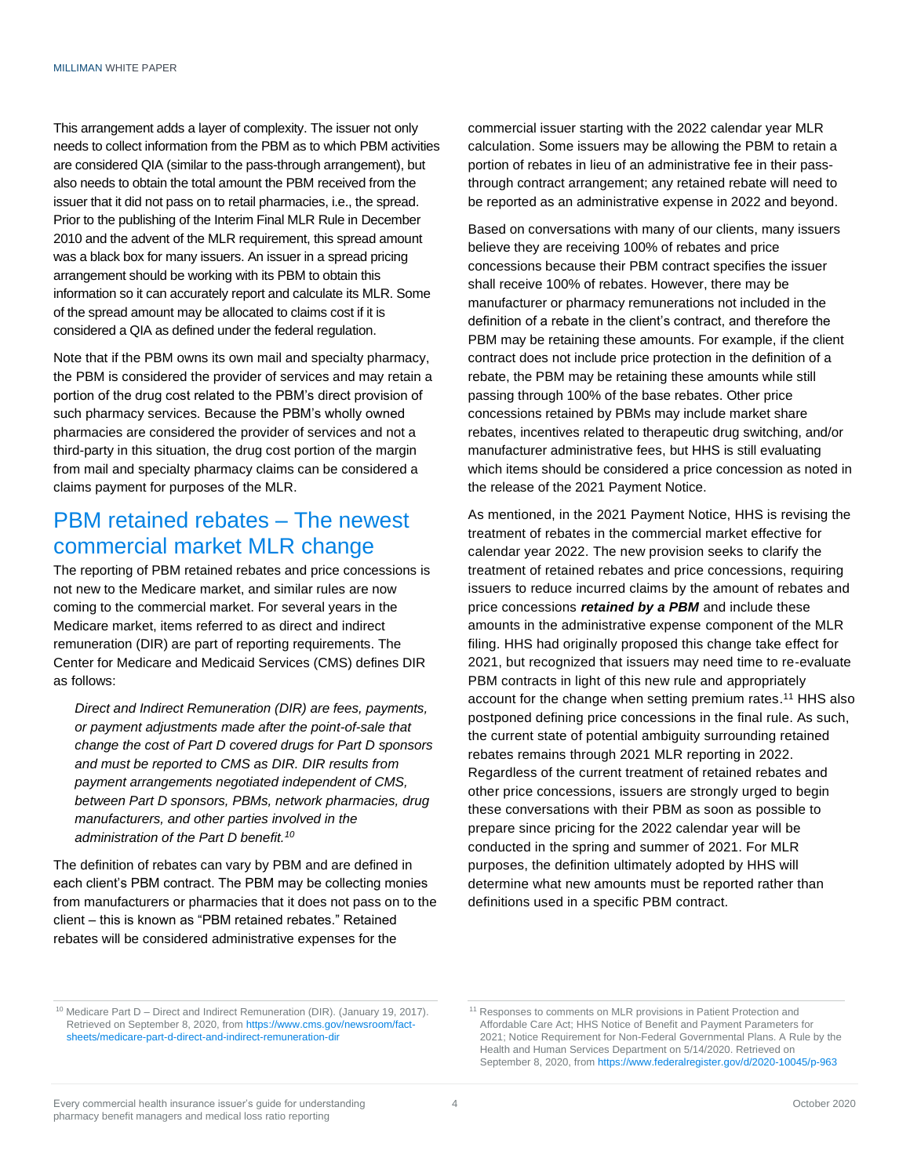This arrangement adds a layer of complexity. The issuer not only needs to collect information from the PBM as to which PBM activities are considered QIA (similar to the pass-through arrangement), but also needs to obtain the total amount the PBM received from the issuer that it did not pass on to retail pharmacies, i.e., the spread. Prior to the publishing of the Interim Final MLR Rule in December 2010 and the advent of the MLR requirement, this spread amount was a black box for many issuers. An issuer in a spread pricing arrangement should be working with its PBM to obtain this information so it can accurately report and calculate its MLR. Some of the spread amount may be allocated to claims cost if it is considered a QIA as defined under the federal regulation.

Note that if the PBM owns its own mail and specialty pharmacy, the PBM is considered the provider of services and may retain a portion of the drug cost related to the PBM's direct provision of such pharmacy services. Because the PBM's wholly owned pharmacies are considered the provider of services and not a third-party in this situation, the drug cost portion of the margin from mail and specialty pharmacy claims can be considered a claims payment for purposes of the MLR.

## PBM retained rebates – The newest commercial market MLR change

The reporting of PBM retained rebates and price concessions is not new to the Medicare market, and similar rules are now coming to the commercial market. For several years in the Medicare market, items referred to as direct and indirect remuneration (DIR) are part of reporting requirements. The Center for Medicare and Medicaid Services (CMS) defines DIR as follows:

*Direct and Indirect Remuneration (DIR) are fees, payments, or payment adjustments made after the point-of-sale that change the cost of Part D covered drugs for Part D sponsors and must be reported to CMS as DIR. DIR results from payment arrangements negotiated independent of CMS, between Part D sponsors, PBMs, network pharmacies, drug manufacturers, and other parties involved in the administration of the Part D benefit.<sup>10</sup>*

The definition of rebates can vary by PBM and are defined in each client's PBM contract. The PBM may be collecting monies from manufacturers or pharmacies that it does not pass on to the client – this is known as "PBM retained rebates." Retained rebates will be considered administrative expenses for the

commercial issuer starting with the 2022 calendar year MLR calculation. Some issuers may be allowing the PBM to retain a portion of rebates in lieu of an administrative fee in their passthrough contract arrangement; any retained rebate will need to be reported as an administrative expense in 2022 and beyond.

Based on conversations with many of our clients, many issuers believe they are receiving 100% of rebates and price concessions because their PBM contract specifies the issuer shall receive 100% of rebates. However, there may be manufacturer or pharmacy remunerations not included in the definition of a rebate in the client's contract, and therefore the PBM may be retaining these amounts. For example, if the client contract does not include price protection in the definition of a rebate, the PBM may be retaining these amounts while still passing through 100% of the base rebates. Other price concessions retained by PBMs may include market share rebates, incentives related to therapeutic drug switching, and/or manufacturer administrative fees, but HHS is still evaluating which items should be considered a price concession as noted in the release of the 2021 Payment Notice.

As mentioned, in the 2021 Payment Notice, HHS is revising the treatment of rebates in the commercial market effective for calendar year 2022. The new provision seeks to clarify the treatment of retained rebates and price concessions, requiring issuers to reduce incurred claims by the amount of rebates and price concessions *retained by a PBM* and include these amounts in the administrative expense component of the MLR filing. HHS had originally proposed this change take effect for 2021, but recognized that issuers may need time to re-evaluate PBM contracts in light of this new rule and appropriately account for the change when setting premium rates. <sup>11</sup> HHS also postponed defining price concessions in the final rule. As such, the current state of potential ambiguity surrounding retained rebates remains through 2021 MLR reporting in 2022. Regardless of the current treatment of retained rebates and other price concessions, issuers are strongly urged to begin these conversations with their PBM as soon as possible to prepare since pricing for the 2022 calendar year will be conducted in the spring and summer of 2021. For MLR purposes, the definition ultimately adopted by HHS will determine what new amounts must be reported rather than definitions used in a specific PBM contract.

<sup>10</sup> Medicare Part D – Direct and Indirect Remuneration (DIR). (January 19, 2017). Retrieved on September 8, 2020, from [https://www.cms.gov/newsroom/fact](https://www.cms.gov/newsroom/fact-sheets/medicare-part-d-direct-and-indirect-remuneration-dir)[sheets/medicare-part-d-direct-and-indirect-remuneration-dir](https://www.cms.gov/newsroom/fact-sheets/medicare-part-d-direct-and-indirect-remuneration-dir)

<sup>&</sup>lt;sup>11</sup> Responses to comments on MLR provisions in Patient Protection and Affordable Care Act; HHS Notice of Benefit and Payment Parameters for 2021; Notice Requirement for Non-Federal Governmental Plans. A Rule by the Health and Human Services Department on 5/14/2020. Retrieved on September 8, 2020, from <https://www.federalregister.gov/d/2020-10045/p-963>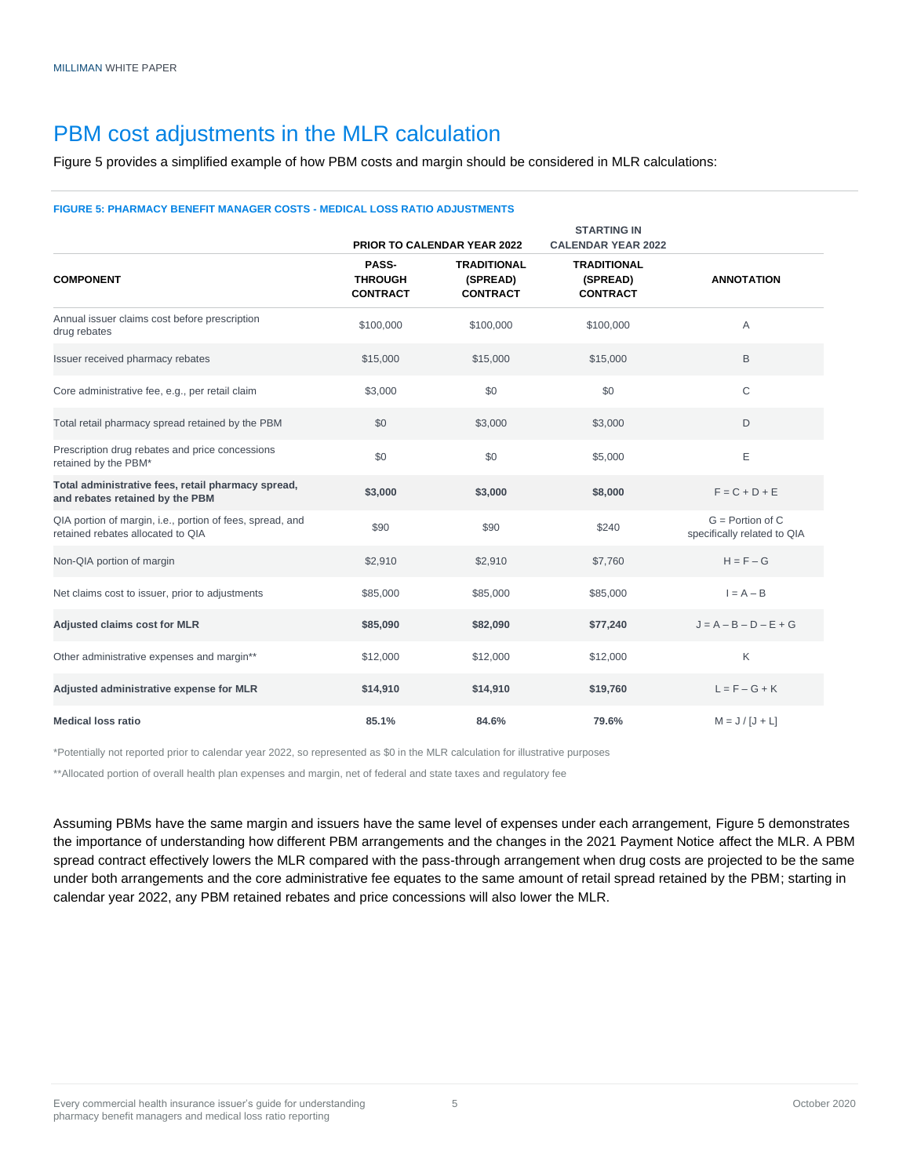## PBM cost adjustments in the MLR calculation

Figure 5 provides a simplified example of how PBM costs and margin should be considered in MLR calculations:

#### **FIGURE 5: PHARMACY BENEFIT MANAGER COSTS - MEDICAL LOSS RATIO ADJUSTMENTS**

|                                                                                                |                                            | <b>PRIOR TO CALENDAR YEAR 2022</b>                | <b>STARTING IN</b><br><b>CALENDAR YEAR 2022</b>   |                                                   |
|------------------------------------------------------------------------------------------------|--------------------------------------------|---------------------------------------------------|---------------------------------------------------|---------------------------------------------------|
| <b>COMPONENT</b>                                                                               | PASS-<br><b>THROUGH</b><br><b>CONTRACT</b> | <b>TRADITIONAL</b><br>(SPREAD)<br><b>CONTRACT</b> | <b>TRADITIONAL</b><br>(SPREAD)<br><b>CONTRACT</b> | <b>ANNOTATION</b>                                 |
| Annual issuer claims cost before prescription<br>drug rebates                                  | \$100,000                                  | \$100,000                                         | \$100,000                                         | A                                                 |
| Issuer received pharmacy rebates                                                               | \$15,000                                   | \$15,000                                          | \$15,000                                          | B                                                 |
| Core administrative fee, e.g., per retail claim                                                | \$3,000                                    | \$0                                               | \$0                                               | $\mathsf C$                                       |
| Total retail pharmacy spread retained by the PBM                                               | \$0                                        | \$3,000                                           | \$3,000                                           | D                                                 |
| Prescription drug rebates and price concessions<br>retained by the PBM*                        | \$0                                        | \$0                                               | \$5,000                                           | Ε                                                 |
| Total administrative fees, retail pharmacy spread,<br>and rebates retained by the PBM          | \$3,000                                    | \$3,000                                           | \$8,000                                           | $F = C + D + E$                                   |
| QIA portion of margin, i.e., portion of fees, spread, and<br>retained rebates allocated to QIA | \$90                                       | \$90                                              | \$240                                             | $G =$ Portion of C<br>specifically related to QIA |
| Non-QIA portion of margin                                                                      | \$2,910                                    | \$2,910                                           | \$7,760                                           | $H = F - G$                                       |
| Net claims cost to issuer, prior to adjustments                                                | \$85,000                                   | \$85,000                                          | \$85,000                                          | $I = A - B$                                       |
| <b>Adjusted claims cost for MLR</b>                                                            | \$85,090                                   | \$82,090                                          | \$77,240                                          | $J = A - B - D - E + G$                           |
| Other administrative expenses and margin**                                                     | \$12,000                                   | \$12,000                                          | \$12,000                                          | Κ                                                 |
| Adjusted administrative expense for MLR                                                        | \$14,910                                   | \$14,910                                          | \$19,760                                          | $L = F - G + K$                                   |
| <b>Medical loss ratio</b>                                                                      | 85.1%                                      | 84.6%                                             | 79.6%                                             | $M = J/[J + L]$                                   |

\*Potentially not reported prior to calendar year 2022, so represented as \$0 in the MLR calculation for illustrative purposes

\*\*Allocated portion of overall health plan expenses and margin, net of federal and state taxes and regulatory fee

Assuming PBMs have the same margin and issuers have the same level of expenses under each arrangement, Figure 5 demonstrates the importance of understanding how different PBM arrangements and the changes in the 2021 Payment Notice affect the MLR. A PBM spread contract effectively lowers the MLR compared with the pass-through arrangement when drug costs are projected to be the same under both arrangements and the core administrative fee equates to the same amount of retail spread retained by the PBM; starting in calendar year 2022, any PBM retained rebates and price concessions will also lower the MLR.